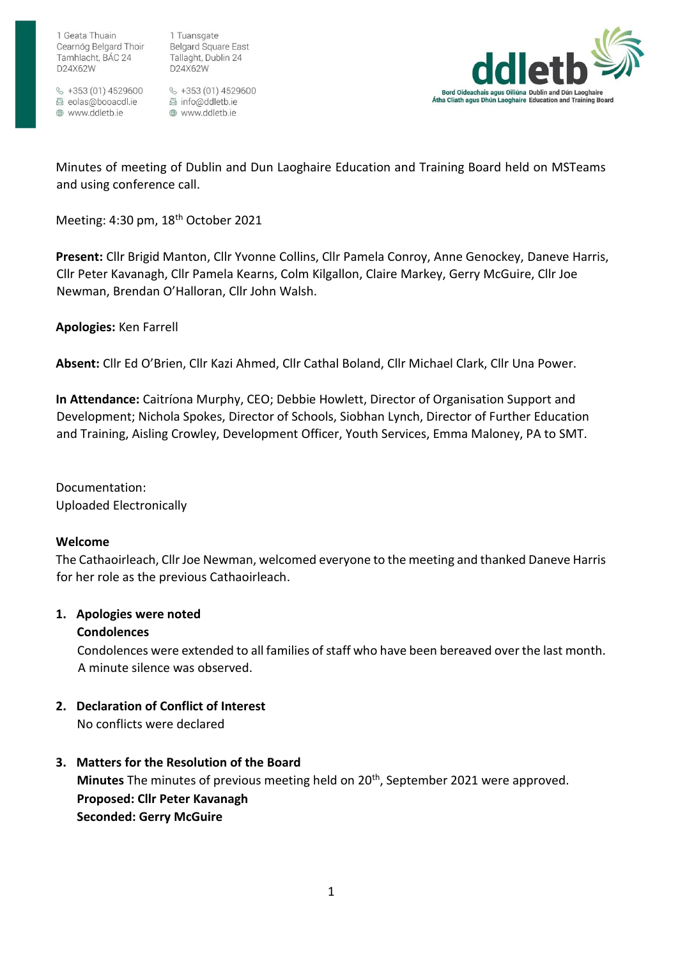1 Tuansgate Belgard Square East Tallaght, Dublin 24 D24X62W

 $\frac{6}{5}$  +353 (01) 4529600 圆 eolas@booacdl.ie www.ddletb.ie

§ +353 (01) 4529600 圆 info@ddletb.ie @ www.ddletb.ie



Minutes of meeting of Dublin and Dun Laoghaire Education and Training Board held on MSTeams and using conference call.

Meeting: 4:30 pm, 18<sup>th</sup> October 2021

**Present:** Cllr Brigid Manton, Cllr Yvonne Collins, Cllr Pamela Conroy, Anne Genockey, Daneve Harris, Cllr Peter Kavanagh, Cllr Pamela Kearns, Colm Kilgallon, Claire Markey, Gerry McGuire, Cllr Joe Newman, Brendan O'Halloran, Cllr John Walsh.

**Apologies:** Ken Farrell

**Absent:** Cllr Ed O'Brien, Cllr Kazi Ahmed, Cllr Cathal Boland, Cllr Michael Clark, Cllr Una Power.

**In Attendance:** Caitríona Murphy, CEO; Debbie Howlett, Director of Organisation Support and Development; Nichola Spokes, Director of Schools, Siobhan Lynch, Director of Further Education and Training, Aisling Crowley, Development Officer, Youth Services, Emma Maloney, PA to SMT.

Documentation: Uploaded Electronically

## **Welcome**

The Cathaoirleach, Cllr Joe Newman, welcomed everyone to the meeting and thanked Daneve Harris for her role as the previous Cathaoirleach.

## **1. Apologies were noted**

## **Condolences**

Condolences were extended to all families of staff who have been bereaved over the last month. A minute silence was observed.

# **2. Declaration of Conflict of Interest**

No conflicts were declared

**3. Matters for the Resolution of the Board Minutes** The minutes of previous meeting held on 20th, September 2021 were approved. **Proposed: Cllr Peter Kavanagh Seconded: Gerry McGuire**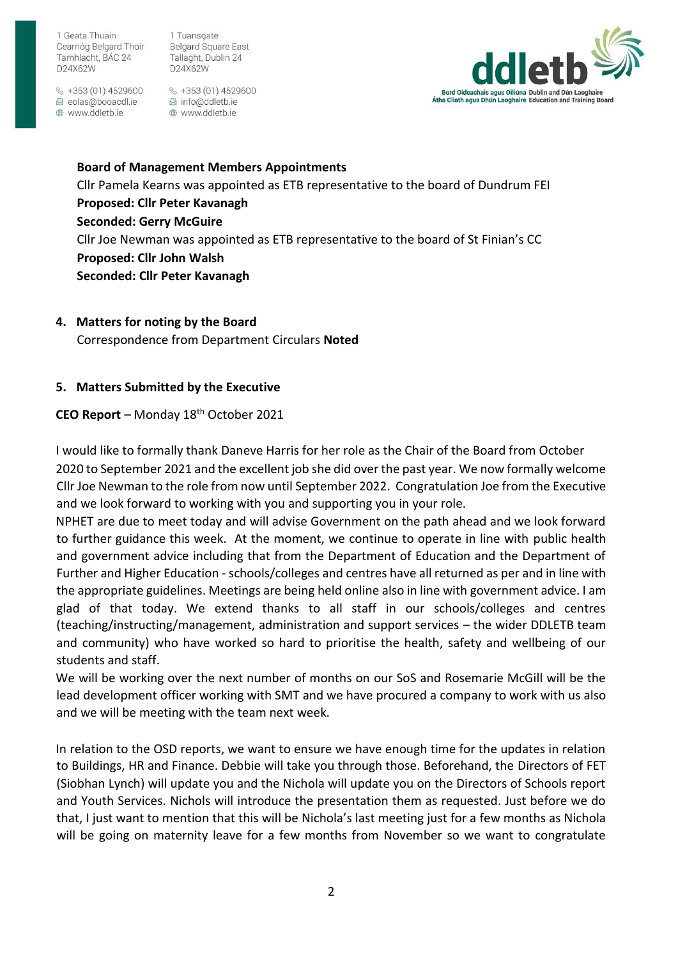1 Tuansgate **Belgard Square East** Tallaght, Dublin 24 D24X62W

 $\frac{6}{5}$  +353 (01) 4529600 圆 eolas@booacdl.ie www.ddletb.ie

 $\&$  +353 (01) 4529600 圆 info@ddletb.ie ⊕ www.ddletb.ie



**Board of Management Members Appointments**  Cllr Pamela Kearns was appointed as ETB representative to the board of Dundrum FEI **Proposed: Cllr Peter Kavanagh Seconded: Gerry McGuire**  Cllr Joe Newman was appointed as ETB representative to the board of St Finian's CC **Proposed: Cllr John Walsh Seconded: Cllr Peter Kavanagh** 

**4. Matters for noting by the Board** 

Correspondence from Department Circulars **Noted** 

## **5. Matters Submitted by the Executive**

## **CEO Report** – Monday 18th October 2021

I would like to formally thank Daneve Harris for her role as the Chair of the Board from October 2020 to September 2021 and the excellent job she did over the past year. We now formally welcome Cllr Joe Newman to the role from now until September 2022. Congratulation Joe from the Executive and we look forward to working with you and supporting you in your role.

NPHET are due to meet today and will advise Government on the path ahead and we look forward to further guidance this week. At the moment, we continue to operate in line with public health and government advice including that from the Department of Education and the Department of Further and Higher Education - schools/colleges and centres have all returned as per and in line with the appropriate guidelines. Meetings are being held online also in line with government advice. I am glad of that today. We extend thanks to all staff in our schools/colleges and centres (teaching/instructing/management, administration and support services – the wider DDLETB team and community) who have worked so hard to prioritise the health, safety and wellbeing of our students and staff.

We will be working over the next number of months on our SoS and Rosemarie McGill will be the lead development officer working with SMT and we have procured a company to work with us also and we will be meeting with the team next week.

In relation to the OSD reports, we want to ensure we have enough time for the updates in relation to Buildings, HR and Finance. Debbie will take you through those. Beforehand, the Directors of FET (Siobhan Lynch) will update you and the Nichola will update you on the Directors of Schools report and Youth Services. Nichols will introduce the presentation them as requested. Just before we do that, I just want to mention that this will be Nichola's last meeting just for a few months as Nichola will be going on maternity leave for a few months from November so we want to congratulate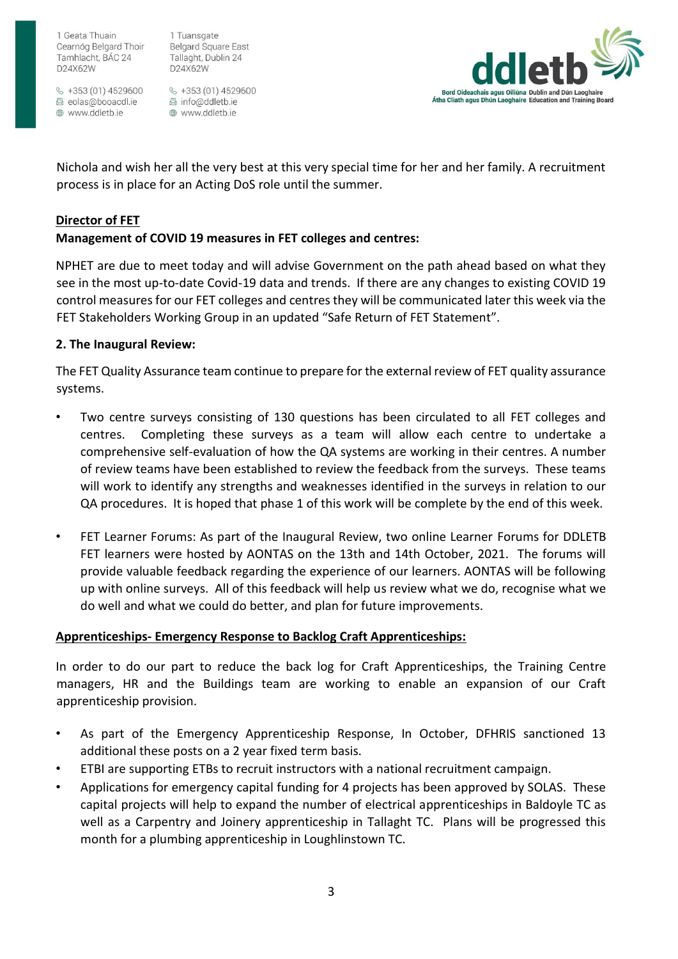$\frac{6}{5}$  +353 (01) 4529600 圆 eolas@booacdl.ie www.ddletb.ie

1 Tuansgate **Belgard Square East** Tallaght, Dublin 24 D24X62W

§ +353 (01) 4529600 圆 info@ddletb.ie ⊕ www.ddletb.ie



Nichola and wish her all the very best at this very special time for her and her family. A recruitment process is in place for an Acting DoS role until the summer.

# **Director of FET**

# **Management of COVID 19 measures in FET colleges and centres:**

NPHET are due to meet today and will advise Government on the path ahead based on what they see in the most up-to-date Covid-19 data and trends. If there are any changes to existing COVID 19 control measures for our FET colleges and centres they will be communicated later this week via the FET Stakeholders Working Group in an updated "Safe Return of FET Statement".

## **2. The Inaugural Review:**

The FET Quality Assurance team continue to prepare for the external review of FET quality assurance systems.

- Two centre surveys consisting of 130 questions has been circulated to all FET colleges and centres. Completing these surveys as a team will allow each centre to undertake a comprehensive self-evaluation of how the QA systems are working in their centres. A number of review teams have been established to review the feedback from the surveys. These teams will work to identify any strengths and weaknesses identified in the surveys in relation to our QA procedures. It is hoped that phase 1 of this work will be complete by the end of this week.
- FET Learner Forums: As part of the Inaugural Review, two online Learner Forums for DDLETB FET learners were hosted by AONTAS on the 13th and 14th October, 2021. The forums will provide valuable feedback regarding the experience of our learners. AONTAS will be following up with online surveys. All of this feedback will help us review what we do, recognise what we do well and what we could do better, and plan for future improvements.

# **Apprenticeships- Emergency Response to Backlog Craft Apprenticeships:**

In order to do our part to reduce the back log for Craft Apprenticeships, the Training Centre managers, HR and the Buildings team are working to enable an expansion of our Craft apprenticeship provision.

- As part of the Emergency Apprenticeship Response, In October, DFHRIS sanctioned 13 additional these posts on a 2 year fixed term basis.
- ETBI are supporting ETBs to recruit instructors with a national recruitment campaign.
- Applications for emergency capital funding for 4 projects has been approved by SOLAS. These capital projects will help to expand the number of electrical apprenticeships in Baldoyle TC as well as a Carpentry and Joinery apprenticeship in Tallaght TC. Plans will be progressed this month for a plumbing apprenticeship in Loughlinstown TC.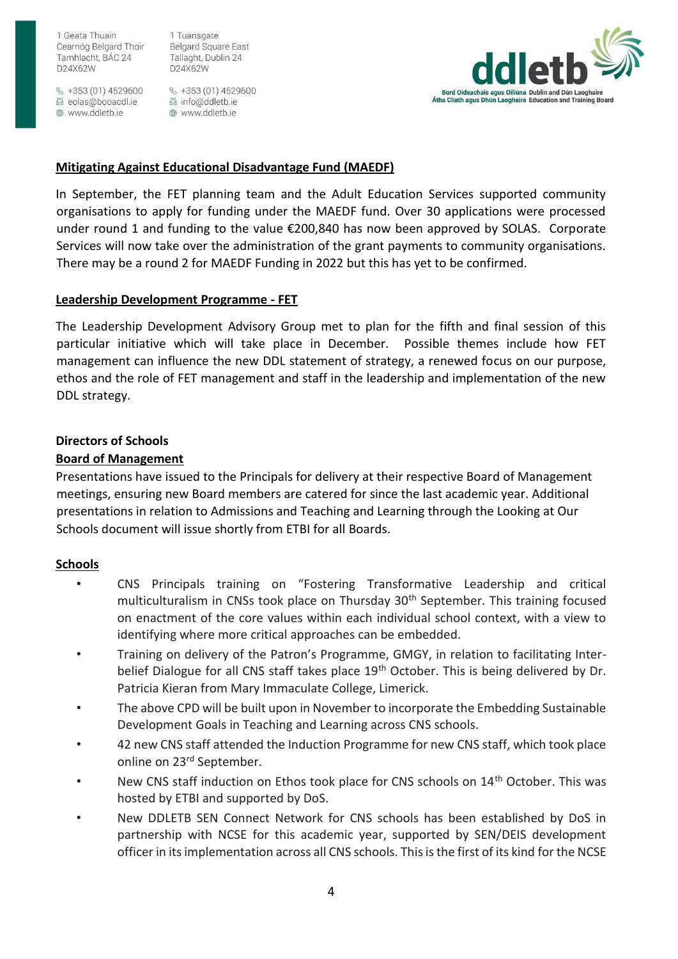$\frac{6}{5}$  +353 (01) 4529600 圆 eolas@booacdl.ie www.ddletb.ie

1 Tuansgate **Belgard Square East** Tallaght, Dublin 24 D24X62W

§ +353 (01) 4529600 圆 info@ddletb.ie ⊕ www.ddletb.ie



## **Mitigating Against Educational Disadvantage Fund (MAEDF)**

In September, the FET planning team and the Adult Education Services supported community organisations to apply for funding under the MAEDF fund. Over 30 applications were processed under round 1 and funding to the value  $\epsilon$ 200,840 has now been approved by SOLAS. Corporate Services will now take over the administration of the grant payments to community organisations. There may be a round 2 for MAEDF Funding in 2022 but this has yet to be confirmed.

## **Leadership Development Programme - FET**

The Leadership Development Advisory Group met to plan for the fifth and final session of this particular initiative which will take place in December. Possible themes include how FET management can influence the new DDL statement of strategy, a renewed focus on our purpose, ethos and the role of FET management and staff in the leadership and implementation of the new DDL strategy.

# **Directors of Schools**

# **Board of Management**

Presentations have issued to the Principals for delivery at their respective Board of Management meetings, ensuring new Board members are catered for since the last academic year. Additional presentations in relation to Admissions and Teaching and Learning through the Looking at Our Schools document will issue shortly from ETBI for all Boards.

## **Schools**

- CNS Principals training on "Fostering Transformative Leadership and critical multiculturalism in CNSs took place on Thursday 30<sup>th</sup> September. This training focused on enactment of the core values within each individual school context, with a view to identifying where more critical approaches can be embedded.
- Training on delivery of the Patron's Programme, GMGY, in relation to facilitating Interbelief Dialogue for all CNS staff takes place 19<sup>th</sup> October. This is being delivered by Dr. Patricia Kieran from Mary Immaculate College, Limerick.
- The above CPD will be built upon in November to incorporate the Embedding Sustainable Development Goals in Teaching and Learning across CNS schools.
- 42 new CNS staff attended the Induction Programme for new CNS staff, which took place online on 23<sup>rd</sup> September.
- New CNS staff induction on Ethos took place for CNS schools on 14<sup>th</sup> October. This was hosted by ETBI and supported by DoS.
- New DDLETB SEN Connect Network for CNS schools has been established by DoS in partnership with NCSE for this academic year, supported by SEN/DEIS development officer in its implementation across all CNS schools. This is the first of its kind for the NCSE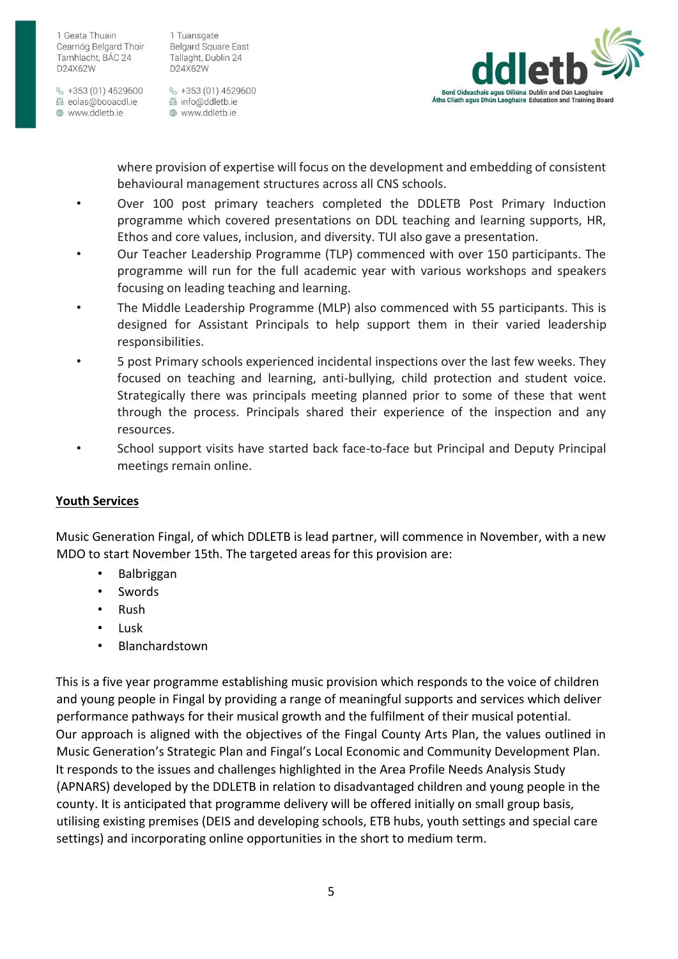$\frac{6}{5}$  +353 (01) 4529600 圆 eolas@booacdl.ie www.ddletb.ie

1 Tuansgate **Belgard Square East** Tallaght, Dublin 24 D24X62W

§ +353 (01) 4529600 圆 info@ddletb.ie ⊕ www.ddletb.ie



where provision of expertise will focus on the development and embedding of consistent behavioural management structures across all CNS schools.

- Over 100 post primary teachers completed the DDLETB Post Primary Induction programme which covered presentations on DDL teaching and learning supports, HR, Ethos and core values, inclusion, and diversity. TUI also gave a presentation.
- Our Teacher Leadership Programme (TLP) commenced with over 150 participants. The programme will run for the full academic year with various workshops and speakers focusing on leading teaching and learning.
- The Middle Leadership Programme (MLP) also commenced with 55 participants. This is designed for Assistant Principals to help support them in their varied leadership responsibilities.
- 5 post Primary schools experienced incidental inspections over the last few weeks. They focused on teaching and learning, anti-bullying, child protection and student voice. Strategically there was principals meeting planned prior to some of these that went through the process. Principals shared their experience of the inspection and any resources.
- School support visits have started back face-to-face but Principal and Deputy Principal meetings remain online.

# **Youth Services**

Music Generation Fingal, of which DDLETB is lead partner, will commence in November, with a new MDO to start November 15th. The targeted areas for this provision are:

- Balbriggan
- **Swords**
- Rush
- Lusk
- **Blanchardstown**

This is a five year programme establishing music provision which responds to the voice of children and young people in Fingal by providing a range of meaningful supports and services which deliver performance pathways for their musical growth and the fulfilment of their musical potential. Our approach is aligned with the objectives of the Fingal County Arts Plan, the values outlined in Music Generation's Strategic Plan and Fingal's Local Economic and Community Development Plan. It responds to the issues and challenges highlighted in the Area Profile Needs Analysis Study (APNARS) developed by the DDLETB in relation to disadvantaged children and young people in the county. It is anticipated that programme delivery will be offered initially on small group basis, utilising existing premises (DEIS and developing schools, ETB hubs, youth settings and special care settings) and incorporating online opportunities in the short to medium term.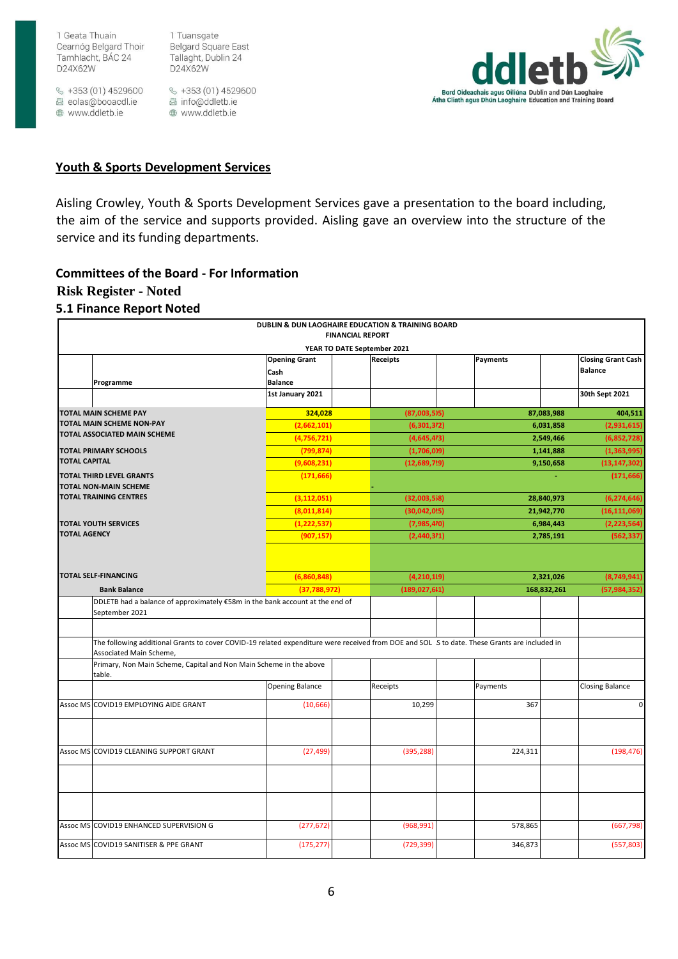$\frac{1}{2}$  +353 (01) 4529600 圆 eolas@booacdl.ie www.ddletb.ie

1 Tuansgate **Belgard Square East** Tallaght, Dublin 24 D24X62W

§ +353 (01) 4529600 圆 info@ddletb.ie www.ddletb.ie



#### **Youth & Sports Development Services**

Aisling Crowley, Youth & Sports Development Services gave a presentation to the board including, the aim of the service and supports provided. Aisling gave an overview into the structure of the service and its funding departments.

#### **Committees of the Board - For Information**

### **Risk Register - Noted**

#### **5.1 Finance Report Noted**

|                                                           |                                                                                                                                                                          |                                    | DUBLIN & DUN LAOGHAIRE EDUCATION & TRAINING BOARD<br><b>FINANCIAL REPORT</b> |                        |                                                         |
|-----------------------------------------------------------|--------------------------------------------------------------------------------------------------------------------------------------------------------------------------|------------------------------------|------------------------------------------------------------------------------|------------------------|---------------------------------------------------------|
|                                                           |                                                                                                                                                                          | <b>Opening Grant</b><br>Cash       | YEAR TO DATE September 2021<br>Receipts                                      | Payments               | <b>Closing Grant Cash</b><br><b>Balance</b>             |
|                                                           | Programme                                                                                                                                                                | <b>Balance</b><br>1st January 2021 |                                                                              |                        | 30th Sept 2021                                          |
|                                                           | <b>TOTAL MAIN SCHEME PAY</b>                                                                                                                                             | 324,028                            | (87,003,5)5)                                                                 |                        | 404,511<br>87,083,988                                   |
| TOTAL MAIN SCHEME NON-PAY<br>TOTAL ASSOCIATED MAIN SCHEME |                                                                                                                                                                          | (2,662,101)                        | (6,301,372)                                                                  |                        | (2,931,615)<br>6,031,858                                |
|                                                           |                                                                                                                                                                          | (4,756,721)                        | (4,645,473)                                                                  |                        | (6,852,728)<br>2,549,466                                |
| <b>TOTAL PRIMARY SCHOOLS</b><br><b>TOTAL CAPITAL</b>      |                                                                                                                                                                          | (799, 874)<br>(9,608,231)          | (1,706,0)9)<br>(12,689,729)                                                  |                        | (1,363,995)<br>1,141,888<br>9,150,658<br>(13, 147, 302) |
|                                                           | <b>TOTAL THIRD LEVEL GRANTS</b>                                                                                                                                          | (171, 666)                         |                                                                              |                        | (171, 666)                                              |
|                                                           | <b>TOTAL NON-MAIN SCHEME</b><br><b>TOTAL TRAINING CENTRES</b>                                                                                                            |                                    |                                                                              |                        |                                                         |
|                                                           |                                                                                                                                                                          | (3, 112, 051)                      | (32,003,558)                                                                 |                        | (6, 274, 646)<br>28,840,973                             |
|                                                           | <b>TOTAL YOUTH SERVICES</b>                                                                                                                                              | (8,011,814)<br>(1, 222, 537)       | (30,042,025)<br>(7,985,470)                                                  |                        | (16, 111, 069)<br>21,942,770<br>(2, 223, 564)           |
| <b>TOTAL AGENCY</b>                                       |                                                                                                                                                                          | (907, 157)                         | (2,440,371)                                                                  | 6,984,443<br>2,785,191 |                                                         |
|                                                           |                                                                                                                                                                          |                                    |                                                                              |                        |                                                         |
|                                                           | <b>TOTAL SELF-FINANCING</b>                                                                                                                                              | (6,860,848)                        | (4,210,119)                                                                  |                        | 2,321,026<br>(8,749,941)                                |
|                                                           | <b>Bank Balance</b>                                                                                                                                                      | (37,788,972)                       | (189, 027, 611)                                                              |                        | 168,832,261<br>(57, 984, 352)                           |
|                                                           | DDLETB had a balance of approximately €58m in the bank account at the end of<br>September 2021                                                                           |                                    |                                                                              |                        |                                                         |
|                                                           |                                                                                                                                                                          |                                    |                                                                              |                        |                                                         |
|                                                           | The following additional Grants to cover COVID-19 related expenditure were received from DOE and SOL .S to date. These Grants are included in<br>Associated Main Scheme, |                                    |                                                                              |                        |                                                         |
|                                                           | Primary, Non Main Scheme, Capital and Non Main Scheme in the above<br>table.                                                                                             |                                    |                                                                              |                        |                                                         |
|                                                           |                                                                                                                                                                          | <b>Opening Balance</b>             | Receipts                                                                     | Payments               | <b>Closing Balance</b>                                  |
|                                                           | Assoc MS COVID19 EMPLOYING AIDE GRANT                                                                                                                                    | (10,666)                           | 10,299                                                                       | 367                    | $\pmb{0}$                                               |
|                                                           | Assoc MS COVID19 CLEANING SUPPORT GRANT                                                                                                                                  | (27, 499)                          | (395, 288)                                                                   | 224,311                | (198, 476)                                              |
|                                                           |                                                                                                                                                                          |                                    |                                                                              |                        |                                                         |
|                                                           | Assoc MS COVID19 ENHANCED SUPERVISION G                                                                                                                                  | (277, 672)                         | (968, 991)                                                                   | 578,865                | (667, 798)                                              |
|                                                           |                                                                                                                                                                          |                                    |                                                                              |                        |                                                         |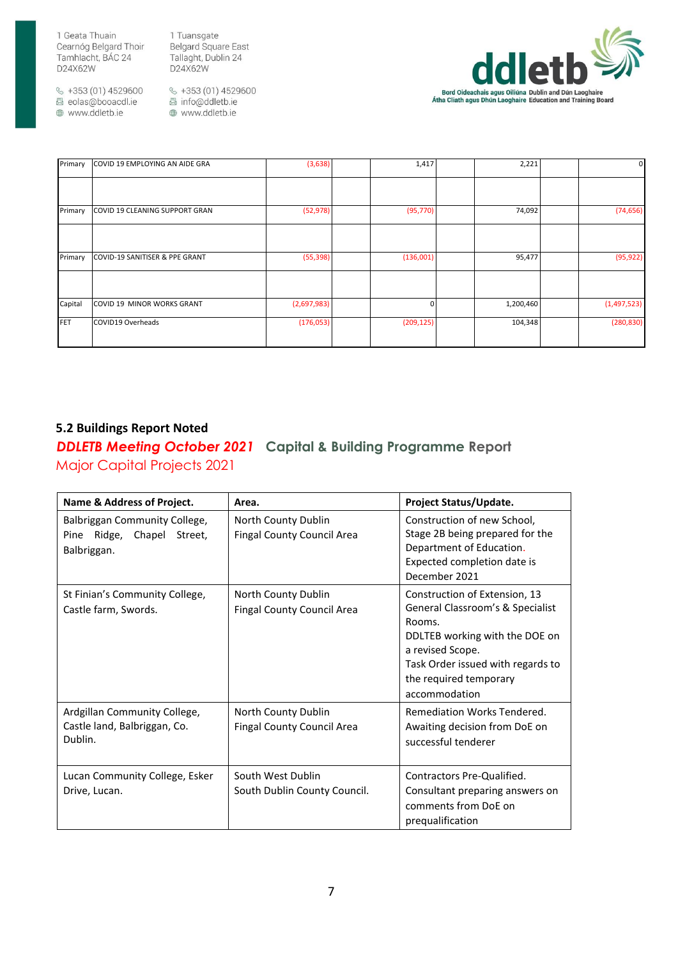1 Tuansgate Belgard Square East Tallaght, Dublin 24 D24X62W

 $\frac{6}{5}$  +353 (01) 4529600 圆 eolas@booacdl.ie www.ddletb.ie

§ +353 (01) 4529600 圆 info@ddletb.ie www.ddletb.ie



| COVID 19 EMPLOYING AN AIDE GRA | (3,638)     | 1,417 | 2,221     | $\mathbf{0}$                              |
|--------------------------------|-------------|-------|-----------|-------------------------------------------|
|                                |             |       |           |                                           |
| COVID 19 CLEANING SUPPORT GRAN | (52, 978)   |       | 74,092    | (74, 656)                                 |
|                                |             |       |           |                                           |
| COVID-19 SANITISER & PPE GRANT | (55, 398)   |       | 95,477    | (95, 922)                                 |
|                                |             |       |           |                                           |
| COVID 19 MINOR WORKS GRANT     | (2,697,983) |       | 1,200,460 | (1,497,523)                               |
| COVID19 Overheads              | (176,053)   |       | 104,348   | (280, 830)                                |
|                                |             |       |           | (95, 770)<br>(136,001)<br>0<br>(209, 125) |

# **5.2 Buildings Report Noted**

*DDLETB Meeting October 2021* **Capital & Building Programme Report** Major Capital Projects 2021

| Name & Address of Project.                                                    | Area.                                                    | Project Status/Update.                                                                                                                                                                                            |
|-------------------------------------------------------------------------------|----------------------------------------------------------|-------------------------------------------------------------------------------------------------------------------------------------------------------------------------------------------------------------------|
| Balbriggan Community College,<br>Ridge, Chapel Street,<br>Pine<br>Balbriggan. | North County Dublin<br>Fingal County Council Area        | Construction of new School,<br>Stage 2B being prepared for the<br>Department of Education.<br>Expected completion date is<br>December 2021                                                                        |
| St Finian's Community College,<br>Castle farm, Swords.                        | North County Dublin<br><b>Fingal County Council Area</b> | Construction of Extension, 13<br>General Classroom's & Specialist<br>Rooms.<br>DDLTEB working with the DOE on<br>a revised Scope.<br>Task Order issued with regards to<br>the required temporary<br>accommodation |
| Ardgillan Community College,<br>Castle land, Balbriggan, Co.<br>Dublin.       | North County Dublin<br><b>Fingal County Council Area</b> | Remediation Works Tendered.<br>Awaiting decision from DoE on<br>successful tenderer                                                                                                                               |
| Lucan Community College, Esker<br>Drive, Lucan.                               | South West Dublin<br>South Dublin County Council.        | Contractors Pre-Qualified.<br>Consultant preparing answers on<br>comments from DoE on<br>prequalification                                                                                                         |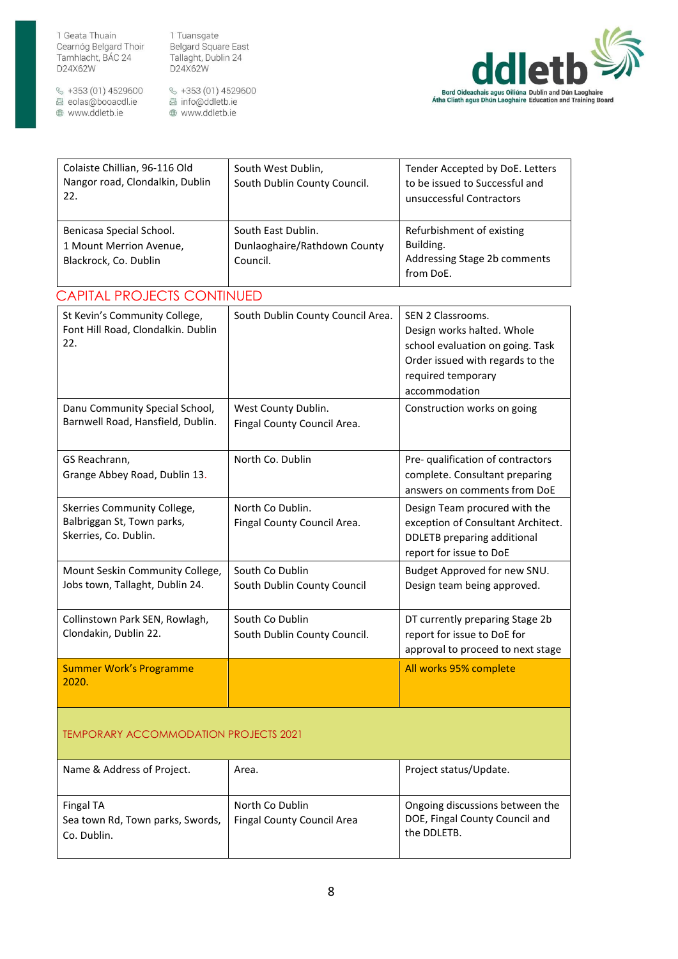1 Tuansgate Belgard Square East Tallaght, Dublin 24 D24X62W

 $\frac{6}{5}$  +353 (01) 4529600 圆 eolas@booacdl.ie www.ddletb.ie

§ +353 (01) 4529600<br>图 info@ddletb.ie www.ddletb.ie



| Colaiste Chillian, 96-116 Old<br>Nangor road, Clondalkin, Dublin<br>22.            | South West Dublin,<br>South Dublin County Council.             | Tender Accepted by DoE. Letters<br>to be issued to Successful and<br>unsuccessful Contractors                                                                  |  |
|------------------------------------------------------------------------------------|----------------------------------------------------------------|----------------------------------------------------------------------------------------------------------------------------------------------------------------|--|
| Benicasa Special School.<br>1 Mount Merrion Avenue,<br>Blackrock, Co. Dublin       | South East Dublin.<br>Dunlaoghaire/Rathdown County<br>Council. | Refurbishment of existing<br>Building.<br>Addressing Stage 2b comments<br>from DoE.                                                                            |  |
| <b>CAPITAL PROJECTS CONTINUED</b>                                                  |                                                                |                                                                                                                                                                |  |
| St Kevin's Community College,<br>Font Hill Road, Clondalkin. Dublin<br>22.         | South Dublin County Council Area.                              | SEN 2 Classrooms.<br>Design works halted. Whole<br>school evaluation on going. Task<br>Order issued with regards to the<br>required temporary<br>accommodation |  |
| Danu Community Special School,<br>Barnwell Road, Hansfield, Dublin.                | West County Dublin.<br>Fingal County Council Area.             | Construction works on going                                                                                                                                    |  |
| GS Reachrann,<br>Grange Abbey Road, Dublin 13.                                     | North Co. Dublin                                               | Pre- qualification of contractors<br>complete. Consultant preparing<br>answers on comments from DoE                                                            |  |
| Skerries Community College,<br>Balbriggan St, Town parks,<br>Skerries, Co. Dublin. | North Co Dublin.<br>Fingal County Council Area.                | Design Team procured with the<br>exception of Consultant Architect.<br><b>DDLETB</b> preparing additional<br>report for issue to DoE                           |  |
| Mount Seskin Community College,<br>Jobs town, Tallaght, Dublin 24.                 | South Co Dublin<br>South Dublin County Council                 | Budget Approved for new SNU.<br>Design team being approved.                                                                                                    |  |
| Collinstown Park SEN, Rowlagh,<br>Clondakin, Dublin 22.                            | South Co Dublin<br>South Dublin County Council.                | DT currently preparing Stage 2b<br>report for issue to DoE for<br>approval to proceed to next stage                                                            |  |
| <b>Summer Work's Programme</b><br>2020.                                            |                                                                | All works 95% complete                                                                                                                                         |  |
| TEMPORARY ACCOMMODATION PROJECTS 2021                                              |                                                                |                                                                                                                                                                |  |

| Name & Address of Project.                                   | Area.                                                | Project status/Update.                                                           |
|--------------------------------------------------------------|------------------------------------------------------|----------------------------------------------------------------------------------|
| Fingal TA<br>Sea town Rd, Town parks, Swords,<br>Co. Dublin. | North Co Dublin<br><b>Fingal County Council Area</b> | Ongoing discussions between the<br>DOE, Fingal County Council and<br>the DDLETB. |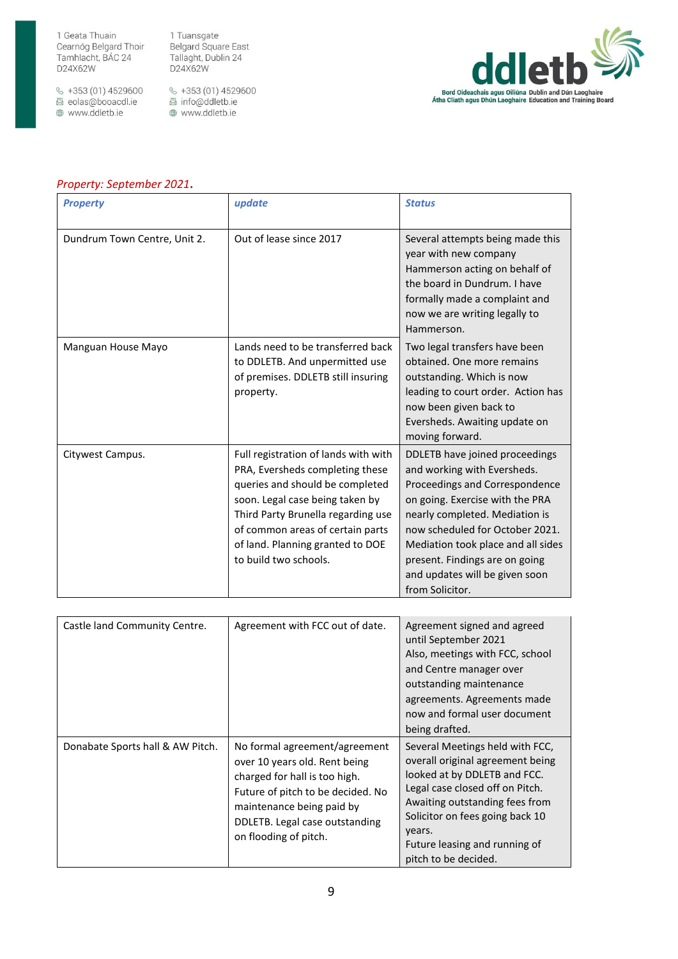$\frac{6}{5}$  +353 (01) 4529600 圆 eolas@booacdl.ie www.ddletb.ie

1 Tuansgate Belgard Square East Tallaght, Dublin 24 D24X62W

↓ +353 (01) 4529600<br>图 info@ddletb.ie www.ddletb.ie



## *Property: September 2021***.**

| <b>Property</b>              | update                                                                                                                                                                                                                                                                               | <b>Status</b>                                                                                                                                                                                                                                                                                                                        |
|------------------------------|--------------------------------------------------------------------------------------------------------------------------------------------------------------------------------------------------------------------------------------------------------------------------------------|--------------------------------------------------------------------------------------------------------------------------------------------------------------------------------------------------------------------------------------------------------------------------------------------------------------------------------------|
| Dundrum Town Centre, Unit 2. | Out of lease since 2017                                                                                                                                                                                                                                                              | Several attempts being made this<br>year with new company<br>Hammerson acting on behalf of<br>the board in Dundrum. I have<br>formally made a complaint and<br>now we are writing legally to<br>Hammerson.                                                                                                                           |
| Manguan House Mayo           | Lands need to be transferred back<br>to DDLETB. And unpermitted use<br>of premises. DDLETB still insuring<br>property.                                                                                                                                                               | Two legal transfers have been<br>obtained. One more remains<br>outstanding. Which is now<br>leading to court order. Action has<br>now been given back to<br>Eversheds. Awaiting update on<br>moving forward.                                                                                                                         |
| Citywest Campus.             | Full registration of lands with with<br>PRA, Eversheds completing these<br>queries and should be completed<br>soon. Legal case being taken by<br>Third Party Brunella regarding use<br>of common areas of certain parts<br>of land. Planning granted to DOE<br>to build two schools. | DDLETB have joined proceedings<br>and working with Eversheds.<br>Proceedings and Correspondence<br>on going. Exercise with the PRA<br>nearly completed. Mediation is<br>now scheduled for October 2021.<br>Mediation took place and all sides<br>present. Findings are on going<br>and updates will be given soon<br>from Solicitor. |

| Castle land Community Centre.    | Agreement with FCC out of date.                                                                                                                                                                                              | Agreement signed and agreed<br>until September 2021<br>Also, meetings with FCC, school<br>and Centre manager over<br>outstanding maintenance<br>agreements. Agreements made<br>now and formal user document<br>being drafted.                                                  |
|----------------------------------|------------------------------------------------------------------------------------------------------------------------------------------------------------------------------------------------------------------------------|--------------------------------------------------------------------------------------------------------------------------------------------------------------------------------------------------------------------------------------------------------------------------------|
| Donabate Sports hall & AW Pitch. | No formal agreement/agreement<br>over 10 years old. Rent being<br>charged for hall is too high.<br>Future of pitch to be decided. No<br>maintenance being paid by<br>DDLETB. Legal case outstanding<br>on flooding of pitch. | Several Meetings held with FCC,<br>overall original agreement being<br>looked at by DDLETB and FCC.<br>Legal case closed off on Pitch.<br>Awaiting outstanding fees from<br>Solicitor on fees going back 10<br>years.<br>Future leasing and running of<br>pitch to be decided. |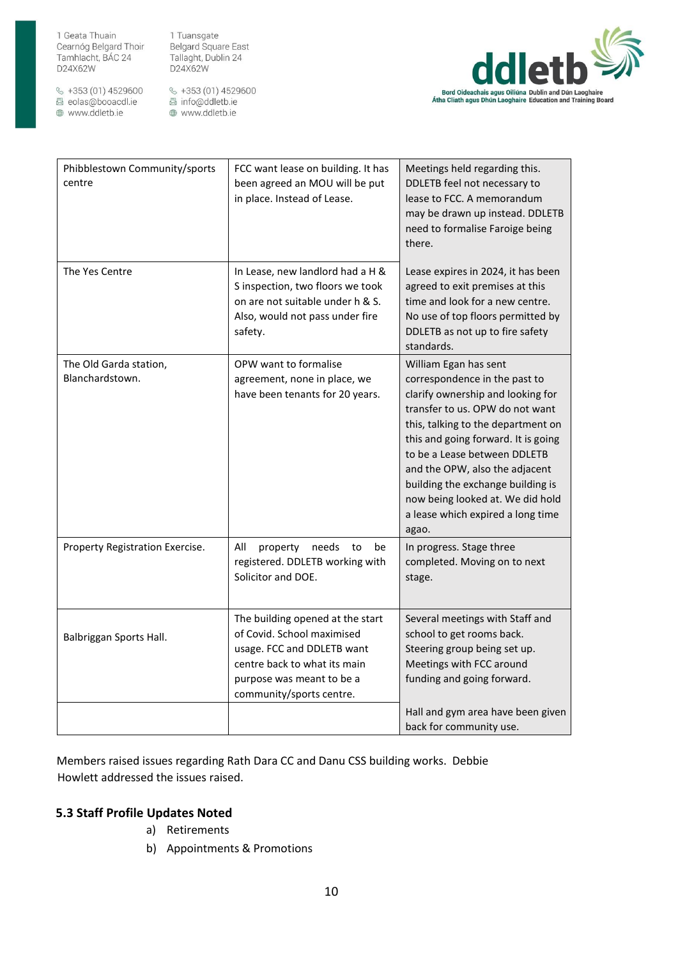$\frac{6}{5}$  +353 (01) 4529600 圆 eolas@booacdl.ie www.ddletb.ie

1 Tuansgate Belgard Square East Tallaght, Dublin 24 D24X62W

 $\&$  +353 (01) 4529600 圆 info@ddletb.ie www.ddletb.ie



| Phibblestown Community/sports<br>centre   | FCC want lease on building. It has<br>been agreed an MOU will be put<br>in place. Instead of Lease.                                                                                   | Meetings held regarding this.<br>DDLETB feel not necessary to<br>lease to FCC. A memorandum<br>may be drawn up instead. DDLETB<br>need to formalise Faroige being<br>there.                                                                                                                                                                                                                          |
|-------------------------------------------|---------------------------------------------------------------------------------------------------------------------------------------------------------------------------------------|------------------------------------------------------------------------------------------------------------------------------------------------------------------------------------------------------------------------------------------------------------------------------------------------------------------------------------------------------------------------------------------------------|
| The Yes Centre                            | In Lease, new landlord had a H &<br>S inspection, two floors we took<br>on are not suitable under h & S.<br>Also, would not pass under fire<br>safety.                                | Lease expires in 2024, it has been<br>agreed to exit premises at this<br>time and look for a new centre.<br>No use of top floors permitted by<br>DDLETB as not up to fire safety<br>standards.                                                                                                                                                                                                       |
| The Old Garda station,<br>Blanchardstown. | OPW want to formalise<br>agreement, none in place, we<br>have been tenants for 20 years.                                                                                              | William Egan has sent<br>correspondence in the past to<br>clarify ownership and looking for<br>transfer to us. OPW do not want<br>this, talking to the department on<br>this and going forward. It is going<br>to be a Lease between DDLETB<br>and the OPW, also the adjacent<br>building the exchange building is<br>now being looked at. We did hold<br>a lease which expired a long time<br>agao. |
| Property Registration Exercise.           | All<br>property<br>needs<br>to<br>be<br>registered. DDLETB working with<br>Solicitor and DOE.                                                                                         | In progress. Stage three<br>completed. Moving on to next<br>stage.                                                                                                                                                                                                                                                                                                                                   |
| Balbriggan Sports Hall.                   | The building opened at the start<br>of Covid. School maximised<br>usage. FCC and DDLETB want<br>centre back to what its main<br>purpose was meant to be a<br>community/sports centre. | Several meetings with Staff and<br>school to get rooms back.<br>Steering group being set up.<br>Meetings with FCC around<br>funding and going forward.                                                                                                                                                                                                                                               |
|                                           |                                                                                                                                                                                       | Hall and gym area have been given<br>back for community use.                                                                                                                                                                                                                                                                                                                                         |

Members raised issues regarding Rath Dara CC and Danu CSS building works. Debbie Howlett addressed the issues raised.

# **5.3 Staff Profile Updates Noted**

- a) Retirements
- b) Appointments & Promotions